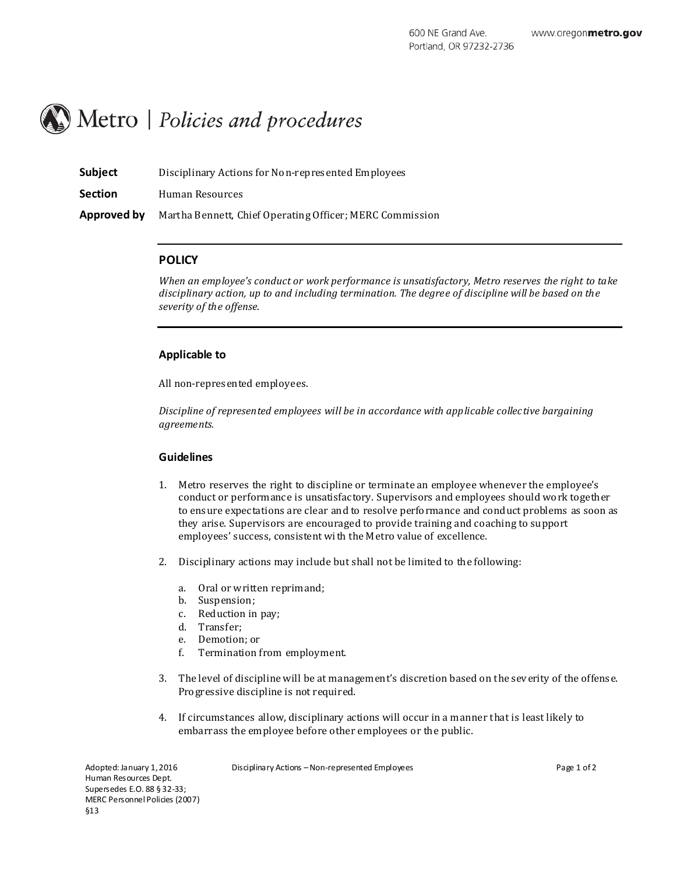# Metro | Policies and procedures

| Subject        | Disciplinary Actions for Non-represented Employees       |
|----------------|----------------------------------------------------------|
| <b>Section</b> | Human Resources                                          |
| Approved by    | Martha Bennett, Chief Operating Officer; MERC Commission |

## **POLICY**

*When an employee's conduct or work performance is unsatisfactory, Metro reserves the right to take disciplinary action, up to and including termination. The degree of discipline will be based on the severity of the offense.*

#### **Applicable to**

All non-represented employees.

*Discipline of represented employees will be in accordance with applicable collective bargaining agreements.*

#### **Guidelines**

- 1. Metro reserves the right to discipline or terminate an employee whenever the employee's conduct or performance is unsatisfactory. Supervisors and employees should work together to ensure expectations are clear and to resolve performance and conduct problems as soon as they arise. Supervisors are encouraged to provide training and coaching to support employees' success, consistent with the Metro value of excellence.
- 2. Disciplinary actions may include but shall not be limited to the following:
	- a. Oral or written reprimand;
	- b. Suspension;
	- c. Reduction in pay;
	- d. Transfer;
	- e. Demotion; or
	- f. Termination from employment.
- 3. The level of discipline will be at management's discretion based on the sev erity of the offense. Progressive discipline is not required.
- 4. If circumstances allow, disciplinary actions will occur in a manner that is least likely to embarrass the employee before other employees or the public.